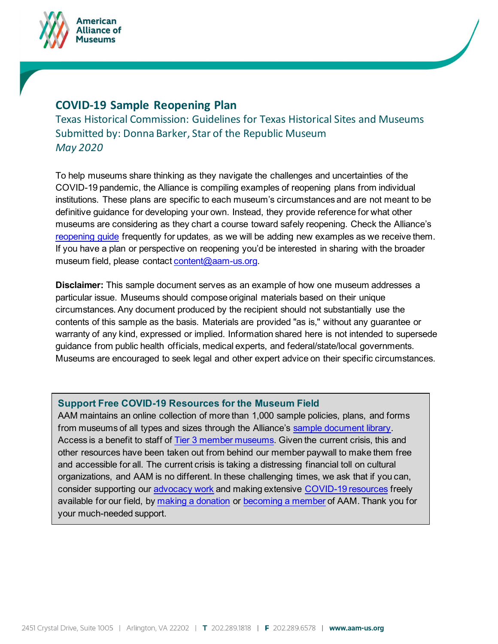



Texas Historical Commission: Guidelines for Texas Historical Sites and Museums Submitted by: Donna Barker, Star of the Republic Museum *May 2020*

To help museums share thinking as they navigate the challenges and uncertainties of the COVID-19 pandemic, the Alliance is compiling examples of reopening plans from individual institutions. These plans are specific to each museum's circumstances and are not meant to be definitive guidance for developing your own. Instead, they provide reference for what other museums are considering as they chart a course toward safely reopening. Check the Alliance's reopening guide frequently for updates, as we will be adding new examples as we receive them. If you have a plan or perspective on reopening you'd be interested in sharing with the broader museum field, please contact content@aam-us.org.

**Disclaimer:** This sample document serves as an example of how one museum addresses a particular issue. Museums should compose original materials based on their unique circumstances. Any document produced by the recipient should not substantially use the contents of this sample as the basis. Materials are provided "as is," without any guarantee or warranty of any kind, expressed or implied. Information shared here is not intended to supersede guidance from public health officials, medical experts, and federal/state/local governments. Museums are encouraged to seek legal and other expert advice on their specific circumstances.

## **Support Free COVID-19 Resources for the Museum Field**

AAM maintains an online collection of more than 1,000 sample policies, plans, and forms from museums of all types and sizes through the Alliance's sample document library. Access is a benefit to staff of Tier 3 member museums. Given the current crisis, this and other resources have been taken out from behind our member paywall to make them free and accessible for all. The current crisis is taking a distressing financial toll on cultural organizations, and AAM is no different. In these challenging times, we ask that if you can, consider supporting our advocacy work and making extensive COVID-19 resources freely available for our field, by making a donation or becoming a member of AAM. Thank you for your much-needed support.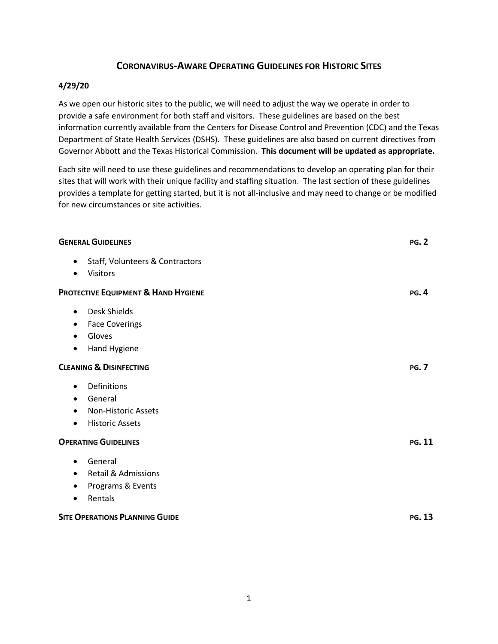# **CORONAVIRUS-AWARE OPERATING GUIDELINES FOR HISTORIC SITES**

## **4/29/20**

As we open our historic sites to the public, we will need to adjust the way we operate in order to provide a safe environment for both staff and visitors. These guidelines are based on the best information currently available from the Centers for Disease Control and Prevention (CDC) and the Texas Department of State Health Services (DSHS). These guidelines are also based on current directives from Governor Abbott and the Texas Historical Commission. **This document will be updated as appropriate.**

Each site will need to use these guidelines and recommendations to develop an operating plan for their sites that will work with their unique facility and staffing situation. The last section of these guidelines provides a template for getting started, but it is not all-inclusive and may need to change or be modified for new circumstances or site activities.

| <b>GENERAL GUIDELINES</b>                                                                                                          | <b>PG. 2</b>  |
|------------------------------------------------------------------------------------------------------------------------------------|---------------|
| Staff, Volunteers & Contractors<br>٠<br>Visitors                                                                                   |               |
| <b>PROTECTIVE EQUIPMENT &amp; HAND HYGIENE</b>                                                                                     | <b>PG.4</b>   |
| Desk Shields<br>$\bullet$<br><b>Face Coverings</b><br>٠<br>Gloves<br>Hand Hygiene<br>٠                                             |               |
| <b>CLEANING &amp; DISINFECTING</b>                                                                                                 | <b>PG. 7</b>  |
| Definitions<br>$\bullet$<br>General<br>$\bullet$<br><b>Non-Historic Assets</b><br>$\bullet$<br><b>Historic Assets</b><br>$\bullet$ |               |
| <b>OPERATING GUIDELINES</b>                                                                                                        | PG. 11        |
| General<br>$\bullet$<br><b>Retail &amp; Admissions</b><br>$\bullet$<br>Programs & Events<br>Rentals<br>$\bullet$                   |               |
| <b>SITE OPERATIONS PLANNING GUIDE</b>                                                                                              | <b>PG. 13</b> |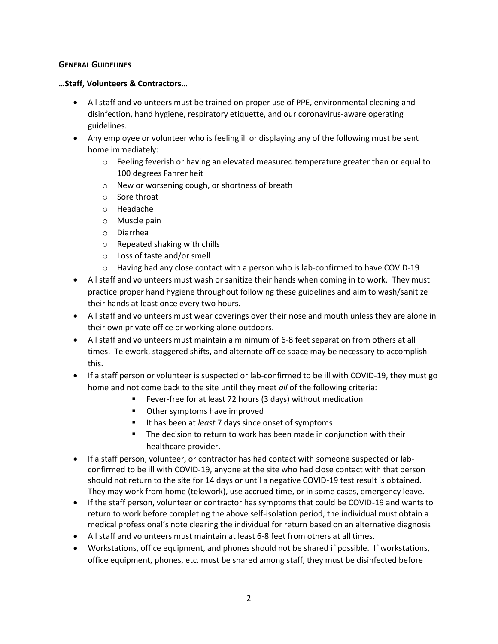### **GENERAL GUIDELINES**

### **…Staff, Volunteers & Contractors…**

- All staff and volunteers must be trained on proper use of PPE, environmental cleaning and disinfection, hand hygiene, respiratory etiquette, and our coronavirus-aware operating guidelines.
- Any employee or volunteer who is feeling ill or displaying any of the following must be sent home immediately:
	- $\circ$  Feeling feverish or having an elevated measured temperature greater than or equal to 100 degrees Fahrenheit
	- o New or worsening cough, or shortness of breath
	- o Sore throat
	- o Headache
	- o Muscle pain
	- o Diarrhea
	- o Repeated shaking with chills
	- o Loss of taste and/or smell
	- o Having had any close contact with a person who is lab-confirmed to have COVID-19
- All staff and volunteers must wash or sanitize their hands when coming in to work. They must practice proper hand hygiene throughout following these guidelines and aim to wash/sanitize their hands at least once every two hours.
- All staff and volunteers must wear coverings over their nose and mouth unless they are alone in their own private office or working alone outdoors.
- All staff and volunteers must maintain a minimum of 6-8 feet separation from others at all times. Telework, staggered shifts, and alternate office space may be necessary to accomplish this.
- If a staff person or volunteer is suspected or lab-confirmed to be ill with COVID-19, they must go home and not come back to the site until they meet *all* of the following criteria:
	- Fever-free for at least 72 hours (3 days) without medication
		- Other symptoms have improved
		- It has been at *least* 7 days since onset of symptoms
		- The decision to return to work has been made in conjunction with their healthcare provider.
- If a staff person, volunteer, or contractor has had contact with someone suspected or labconfirmed to be ill with COVID-19, anyone at the site who had close contact with that person should not return to the site for 14 days or until a negative COVID-19 test result is obtained. They may work from home (telework), use accrued time, or in some cases, emergency leave.
- If the staff person, volunteer or contractor has symptoms that could be COVID-19 and wants to return to work before completing the above self-isolation period, the individual must obtain a medical professional's note clearing the individual for return based on an alternative diagnosis
- All staff and volunteers must maintain at least 6-8 feet from others at all times.
- Workstations, office equipment, and phones should not be shared if possible. If workstations, office equipment, phones, etc. must be shared among staff, they must be disinfected before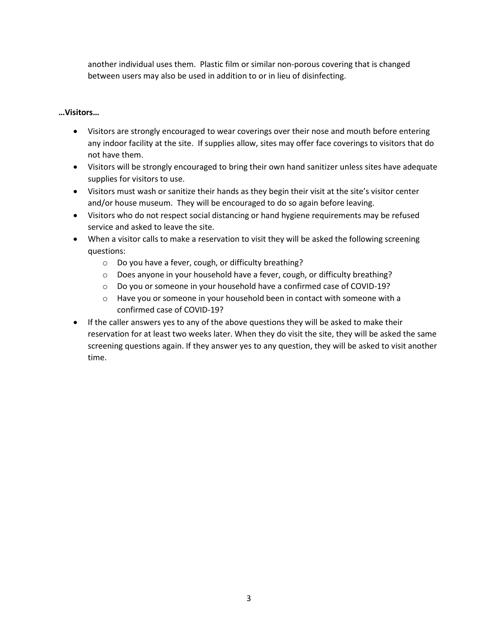another individual uses them. Plastic film or similar non-porous covering that is changed between users may also be used in addition to or in lieu of disinfecting.

## **…Visitors…**

- Visitors are strongly encouraged to wear coverings over their nose and mouth before entering any indoor facility at the site. If supplies allow, sites may offer face coverings to visitors that do not have them.
- Visitors will be strongly encouraged to bring their own hand sanitizer unless sites have adequate supplies for visitors to use.
- Visitors must wash or sanitize their hands as they begin their visit at the site's visitor center and/or house museum. They will be encouraged to do so again before leaving.
- Visitors who do not respect social distancing or hand hygiene requirements may be refused service and asked to leave the site.
- When a visitor calls to make a reservation to visit they will be asked the following screening questions:
	- o Do you have a fever, cough, or difficulty breathing?
	- $\circ$  Does anyone in your household have a fever, cough, or difficulty breathing?
	- o Do you or someone in your household have a confirmed case of COVID-19?
	- $\circ$  Have you or someone in your household been in contact with someone with a confirmed case of COVID-19?
- If the caller answers yes to any of the above questions they will be asked to make their reservation for at least two weeks later. When they do visit the site, they will be asked the same screening questions again. If they answer yes to any question, they will be asked to visit another time.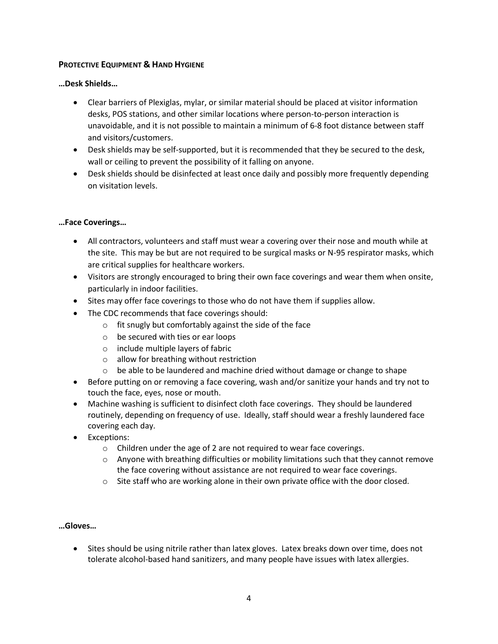## **PROTECTIVE EQUIPMENT & HAND HYGIENE**

### **…Desk Shields…**

- Clear barriers of Plexiglas, mylar, or similar material should be placed at visitor information desks, POS stations, and other similar locations where person-to-person interaction is unavoidable, and it is not possible to maintain a minimum of 6-8 foot distance between staff and visitors/customers.
- Desk shields may be self-supported, but it is recommended that they be secured to the desk, wall or ceiling to prevent the possibility of it falling on anyone.
- Desk shields should be disinfected at least once daily and possibly more frequently depending on visitation levels.

## **…Face Coverings…**

- All contractors, volunteers and staff must wear a covering over their nose and mouth while at the site. This may be but are not required to be surgical masks or N-95 respirator masks, which are critical supplies for healthcare workers.
- Visitors are strongly encouraged to bring their own face coverings and wear them when onsite, particularly in indoor facilities.
- Sites may offer face coverings to those who do not have them if supplies allow.
- The CDC recommends that face coverings should:
	- $\circ$  fit snugly but comfortably against the side of the face
	- o be secured with ties or ear loops
	- o include multiple layers of fabric
	- o allow for breathing without restriction
	- o be able to be laundered and machine dried without damage or change to shape
- Before putting on or removing a face covering, wash and/or sanitize your hands and try not to touch the face, eyes, nose or mouth.
- Machine washing is sufficient to disinfect cloth face coverings. They should be laundered routinely, depending on frequency of use. Ideally, staff should wear a freshly laundered face covering each day.
- Exceptions:
	- $\circ$  Children under the age of 2 are not required to wear face coverings.
	- o Anyone with breathing difficulties or mobility limitations such that they cannot remove the face covering without assistance are not required to wear face coverings.
	- $\circ$  Site staff who are working alone in their own private office with the door closed.

### **…Gloves…**

• Sites should be using nitrile rather than latex gloves. Latex breaks down over time, does not tolerate alcohol-based hand sanitizers, and many people have issues with latex allergies.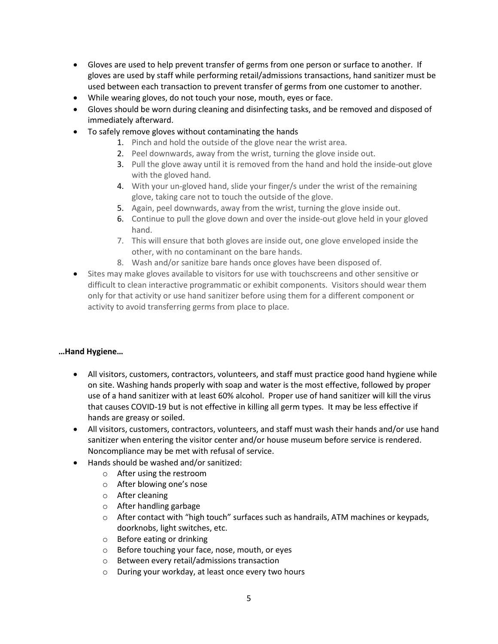- Gloves are used to help prevent transfer of germs from one person or surface to another. If gloves are used by staff while performing retail/admissions transactions, hand sanitizer must be used between each transaction to prevent transfer of germs from one customer to another.
- While wearing gloves, do not touch your nose, mouth, eyes or face.
- Gloves should be worn during cleaning and disinfecting tasks, and be removed and disposed of immediately afterward.
- To safely remove gloves without contaminating the hands
	- 1. Pinch and hold the outside of the glove near the wrist area.
	- 2. Peel downwards, away from the wrist, turning the glove inside out.
	- 3. Pull the glove away until it is removed from the hand and hold the inside-out glove with the gloved hand.
	- 4. With your un-gloved hand, slide your finger/s under the wrist of the remaining glove, taking care not to touch the outside of the glove.
	- 5. Again, peel downwards, away from the wrist, turning the glove inside out.
	- 6. Continue to pull the glove down and over the inside-out glove held in your gloved hand.
	- 7. This will ensure that both gloves are inside out, one glove enveloped inside the other, with no contaminant on the bare hands.
	- 8. Wash and/or sanitize bare hands once gloves have been disposed of.
- Sites may make gloves available to visitors for use with touchscreens and other sensitive or difficult to clean interactive programmatic or exhibit components. Visitors should wear them only for that activity or use hand sanitizer before using them for a different component or activity to avoid transferring germs from place to place.

### **…Hand Hygiene…**

- All visitors, customers, contractors, volunteers, and staff must practice good hand hygiene while on site. Washing hands properly with soap and water is the most effective, followed by proper use of a hand sanitizer with at least 60% alcohol. Proper use of hand sanitizer will kill the virus that causes COVID-19 but is not effective in killing all germ types. It may be less effective if hands are greasy or soiled.
- All visitors, customers, contractors, volunteers, and staff must wash their hands and/or use hand sanitizer when entering the visitor center and/or house museum before service is rendered. Noncompliance may be met with refusal of service.
- Hands should be washed and/or sanitized:
	- o After using the restroom
	- o After blowing one's nose
	- o After cleaning
	- o After handling garbage
	- o After contact with "high touch" surfaces such as handrails, ATM machines or keypads, doorknobs, light switches, etc.
	- o Before eating or drinking
	- o Before touching your face, nose, mouth, or eyes
	- o Between every retail/admissions transaction
	- o During your workday, at least once every two hours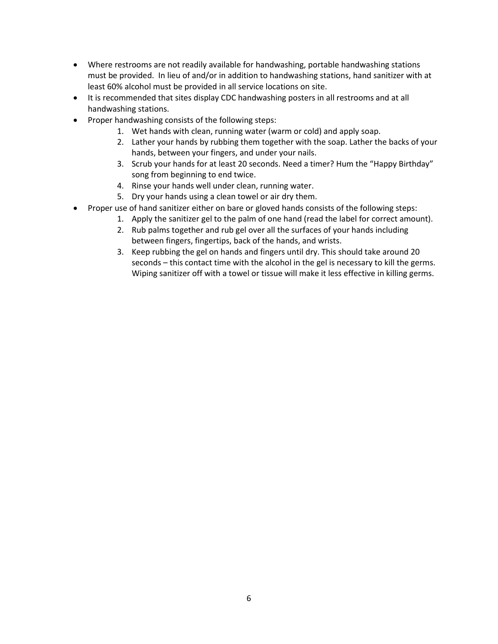- Where restrooms are not readily available for handwashing, portable handwashing stations must be provided. In lieu of and/or in addition to handwashing stations, hand sanitizer with at least 60% alcohol must be provided in all service locations on site.
- It is recommended that sites display CDC handwashing posters in all restrooms and at all handwashing stations.
- Proper handwashing consists of the following steps:
	- 1. Wet hands with clean, running water (warm or cold) and apply soap.
	- 2. Lather your hands by rubbing them together with the soap. Lather the backs of your hands, between your fingers, and under your nails.
	- 3. Scrub your hands for at least 20 seconds. Need a timer? Hum the "Happy Birthday" song from beginning to end twice.
	- 4. Rinse your hands well under clean, running water.
	- 5. Dry your hands using a clean towel or air dry them.
- Proper use of hand sanitizer either on bare or gloved hands consists of the following steps:
	- 1. Apply the sanitizer gel to the palm of one hand (read the label for correct amount).
	- 2. Rub palms together and rub gel over all the surfaces of your hands including between fingers, fingertips, back of the hands, and wrists.
	- 3. Keep rubbing the gel on hands and fingers until dry. This should take around 20 seconds – this contact time with the alcohol in the gel is necessary to kill the germs. Wiping sanitizer off with a towel or tissue will make it less effective in killing germs.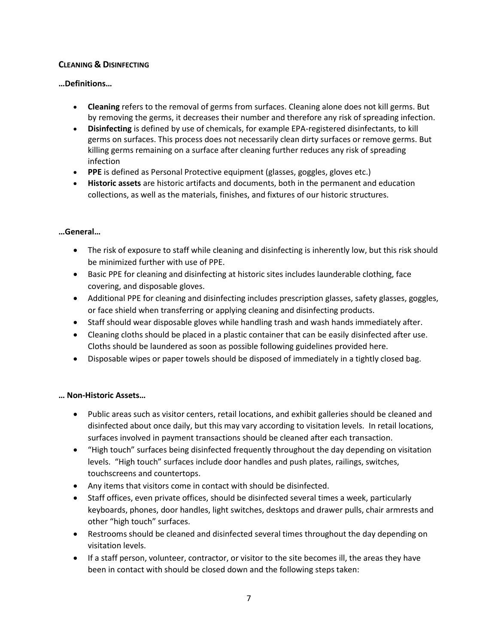## **CLEANING & DISINFECTING**

## **…Definitions…**

- **Cleaning** refers to the removal of germs from surfaces. Cleaning alone does not kill germs. But by removing the germs, it decreases their number and therefore any risk of spreading infection.
- **Disinfecting** is defined by use of chemicals, for example EPA-registered disinfectants, to kill germs on surfaces. This process does not necessarily clean dirty surfaces or remove germs. But killing germs remaining on a surface after cleaning further reduces any risk of spreading infection
- **PPE** is defined as Personal Protective equipment (glasses, goggles, gloves etc.)
- **Historic assets** are historic artifacts and documents, both in the permanent and education collections, as well as the materials, finishes, and fixtures of our historic structures.

## **…General…**

- The risk of exposure to staff while cleaning and disinfecting is inherently low, but this risk should be minimized further with use of PPE.
- Basic PPE for cleaning and disinfecting at historic sites includes launderable clothing, face covering, and disposable gloves.
- Additional PPE for cleaning and disinfecting includes prescription glasses, safety glasses, goggles, or face shield when transferring or applying cleaning and disinfecting products.
- Staff should wear disposable gloves while handling trash and wash hands immediately after.
- Cleaning cloths should be placed in a plastic container that can be easily disinfected after use. Cloths should be laundered as soon as possible following guidelines provided here.
- Disposable wipes or paper towels should be disposed of immediately in a tightly closed bag.

# **… Non-Historic Assets…**

- Public areas such as visitor centers, retail locations, and exhibit galleries should be cleaned and disinfected about once daily, but this may vary according to visitation levels. In retail locations, surfaces involved in payment transactions should be cleaned after each transaction.
- "High touch" surfaces being disinfected frequently throughout the day depending on visitation levels. "High touch" surfaces include door handles and push plates, railings, switches, touchscreens and countertops.
- Any items that visitors come in contact with should be disinfected.
- Staff offices, even private offices, should be disinfected several times a week, particularly keyboards, phones, door handles, light switches, desktops and drawer pulls, chair armrests and other "high touch" surfaces.
- Restrooms should be cleaned and disinfected several times throughout the day depending on visitation levels.
- If a staff person, volunteer, contractor, or visitor to the site becomes ill, the areas they have been in contact with should be closed down and the following steps taken: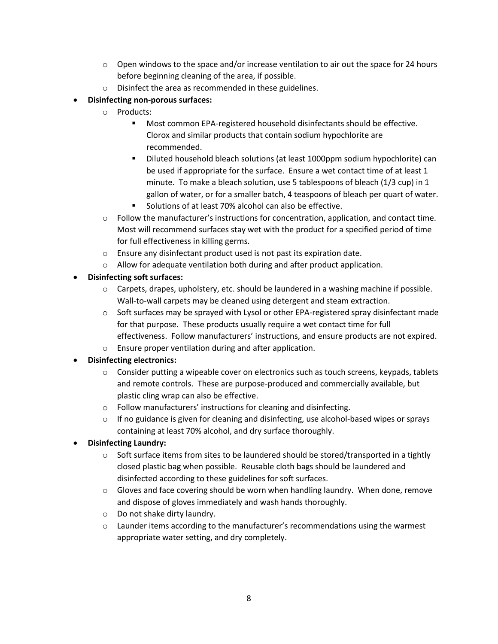- $\circ$  Open windows to the space and/or increase ventilation to air out the space for 24 hours before beginning cleaning of the area, if possible.
- o Disinfect the area as recommended in these guidelines.
- **Disinfecting non-porous surfaces:**
	- o Products:
		- Most common EPA-registered household disinfectants should be effective. Clorox and similar products that contain sodium hypochlorite are recommended.
		- Diluted household bleach solutions (at least 1000ppm sodium hypochlorite) can be used if appropriate for the surface. Ensure a wet contact time of at least 1 minute. To make a bleach solution, use 5 tablespoons of bleach (1/3 cup) in 1 gallon of water, or for a smaller batch, 4 teaspoons of bleach per quart of water.
		- Solutions of at least 70% alcohol can also be effective.
	- $\circ$  Follow the manufacturer's instructions for concentration, application, and contact time. Most will recommend surfaces stay wet with the product for a specified period of time for full effectiveness in killing germs.
	- o Ensure any disinfectant product used is not past its expiration date.
	- o Allow for adequate ventilation both during and after product application.
- **Disinfecting soft surfaces:**
	- $\circ$  Carpets, drapes, upholstery, etc. should be laundered in a washing machine if possible. Wall-to-wall carpets may be cleaned using detergent and steam extraction.
	- $\circ$  Soft surfaces may be sprayed with Lysol or other EPA-registered spray disinfectant made for that purpose. These products usually require a wet contact time for full effectiveness. Follow manufacturers' instructions, and ensure products are not expired.
	- o Ensure proper ventilation during and after application.
- **Disinfecting electronics:**
	- $\circ$  Consider putting a wipeable cover on electronics such as touch screens, keypads, tablets and remote controls. These are purpose-produced and commercially available, but plastic cling wrap can also be effective.
	- o Follow manufacturers' instructions for cleaning and disinfecting.
	- $\circ$  If no guidance is given for cleaning and disinfecting, use alcohol-based wipes or sprays containing at least 70% alcohol, and dry surface thoroughly.
- **Disinfecting Laundry:**
	- $\circ$  Soft surface items from sites to be laundered should be stored/transported in a tightly closed plastic bag when possible. Reusable cloth bags should be laundered and disinfected according to these guidelines for soft surfaces.
	- $\circ$  Gloves and face covering should be worn when handling laundry. When done, remove and dispose of gloves immediately and wash hands thoroughly.
	- o Do not shake dirty laundry.
	- o Launder items according to the manufacturer's recommendations using the warmest appropriate water setting, and dry completely.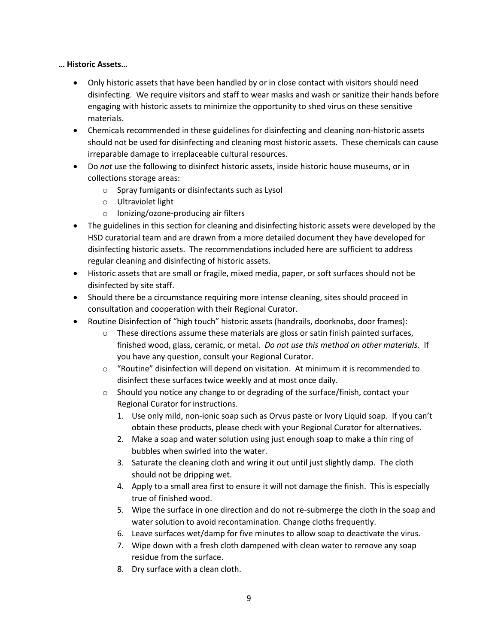### **… Historic Assets…**

- Only historic assets that have been handled by or in close contact with visitors should need disinfecting. We require visitors and staff to wear masks and wash or sanitize their hands before engaging with historic assets to minimize the opportunity to shed virus on these sensitive materials.
- Chemicals recommended in these guidelines for disinfecting and cleaning non-historic assets should not be used for disinfecting and cleaning most historic assets. These chemicals can cause irreparable damage to irreplaceable cultural resources.
- Do *not* use the following to disinfect historic assets, inside historic house museums, or in collections storage areas:
	- o Spray fumigants or disinfectants such as Lysol
	- o Ultraviolet light
	- o Ionizing/ozone-producing air filters
- The guidelines in this section for cleaning and disinfecting historic assets were developed by the HSD curatorial team and are drawn from a more detailed document they have developed for disinfecting historic assets. The recommendations included here are sufficient to address regular cleaning and disinfecting of historic assets.
- Historic assets that are small or fragile, mixed media, paper, or soft surfaces should not be disinfected by site staff.
- Should there be a circumstance requiring more intense cleaning, sites should proceed in consultation and cooperation with their Regional Curator.
- Routine Disinfection of "high touch" historic assets (handrails, doorknobs, door frames):
	- $\circ$  These directions assume these materials are gloss or satin finish painted surfaces, finished wood, glass, ceramic, or metal. *Do not use this method on other materials.* If you have any question, consult your Regional Curator.
	- $\circ$  "Routine" disinfection will depend on visitation. At minimum it is recommended to disinfect these surfaces twice weekly and at most once daily.
	- $\circ$  Should you notice any change to or degrading of the surface/finish, contact your Regional Curator for instructions.
		- 1. Use only mild, non-ionic soap such as Orvus paste or Ivory Liquid soap. If you can't obtain these products, please check with your Regional Curator for alternatives.
		- 2. Make a soap and water solution using just enough soap to make a thin ring of bubbles when swirled into the water.
		- 3. Saturate the cleaning cloth and wring it out until just slightly damp. The cloth should not be dripping wet.
		- 4. Apply to a small area first to ensure it will not damage the finish. This is especially true of finished wood.
		- 5. Wipe the surface in one direction and do not re-submerge the cloth in the soap and water solution to avoid recontamination. Change cloths frequently.
		- 6. Leave surfaces wet/damp for five minutes to allow soap to deactivate the virus.
		- 7. Wipe down with a fresh cloth dampened with clean water to remove any soap residue from the surface.
		- 8. Dry surface with a clean cloth.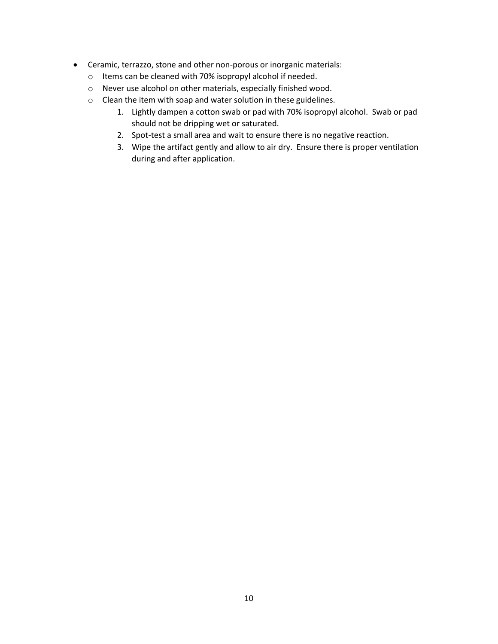- Ceramic, terrazzo, stone and other non-porous or inorganic materials:
	- o Items can be cleaned with 70% isopropyl alcohol if needed.
	- o Never use alcohol on other materials, especially finished wood.
	- o Clean the item with soap and water solution in these guidelines.
		- 1. Lightly dampen a cotton swab or pad with 70% isopropyl alcohol. Swab or pad should not be dripping wet or saturated.
		- 2. Spot-test a small area and wait to ensure there is no negative reaction.
		- 3. Wipe the artifact gently and allow to air dry. Ensure there is proper ventilation during and after application.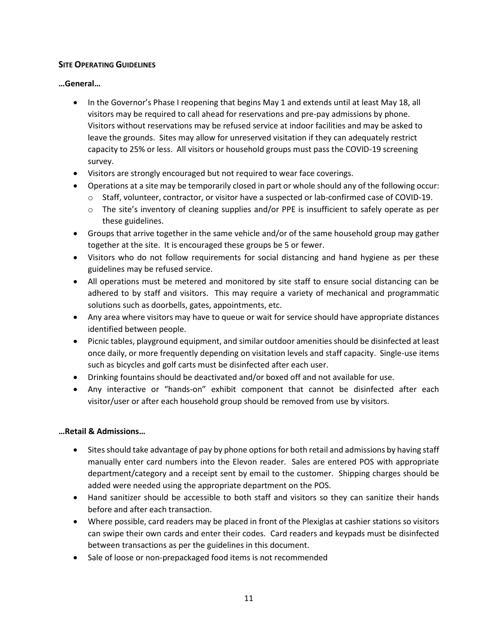## **SITE OPERATING GUIDELINES**

## **…General…**

- In the Governor's Phase I reopening that begins May 1 and extends until at least May 18, all visitors may be required to call ahead for reservations and pre-pay admissions by phone. Visitors without reservations may be refused service at indoor facilities and may be asked to leave the grounds. Sites may allow for unreserved visitation if they can adequately restrict capacity to 25% or less. All visitors or household groups must pass the COVID-19 screening survey.
- Visitors are strongly encouraged but not required to wear face coverings.
- Operations at a site may be temporarily closed in part or whole should any of the following occur:
	- o Staff, volunteer, contractor, or visitor have a suspected or lab-confirmed case of COVID-19.
	- o The site's inventory of cleaning supplies and/or PPE is insufficient to safely operate as per these guidelines.
- Groups that arrive together in the same vehicle and/or of the same household group may gather together at the site. It is encouraged these groups be 5 or fewer.
- Visitors who do not follow requirements for social distancing and hand hygiene as per these guidelines may be refused service.
- All operations must be metered and monitored by site staff to ensure social distancing can be adhered to by staff and visitors. This may require a variety of mechanical and programmatic solutions such as doorbells, gates, appointments, etc.
- Any area where visitors may have to queue or wait for service should have appropriate distances identified between people.
- Picnic tables, playground equipment, and similar outdoor amenities should be disinfected at least once daily, or more frequently depending on visitation levels and staff capacity. Single-use items such as bicycles and golf carts must be disinfected after each user.
- Drinking fountains should be deactivated and/or boxed off and not available for use.
- Any interactive or "hands-on" exhibit component that cannot be disinfected after each visitor/user or after each household group should be removed from use by visitors.

## **…Retail & Admissions…**

- Sites should take advantage of pay by phone options for both retail and admissions by having staff manually enter card numbers into the Elevon reader. Sales are entered POS with appropriate department/category and a receipt sent by email to the customer. Shipping charges should be added were needed using the appropriate department on the POS.
- Hand sanitizer should be accessible to both staff and visitors so they can sanitize their hands before and after each transaction.
- Where possible, card readers may be placed in front of the Plexiglas at cashier stations so visitors can swipe their own cards and enter their codes. Card readers and keypads must be disinfected between transactions as per the guidelines in this document.
- Sale of loose or non-prepackaged food items is not recommended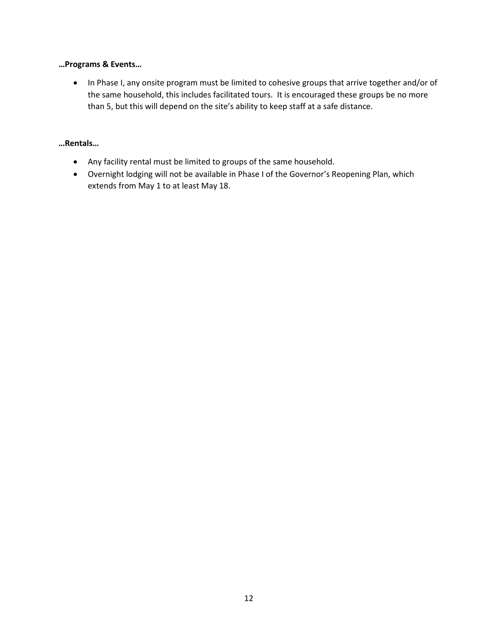### **…Programs & Events…**

• In Phase I, any onsite program must be limited to cohesive groups that arrive together and/or of the same household, this includes facilitated tours. It is encouraged these groups be no more than 5, but this will depend on the site's ability to keep staff at a safe distance.

## **…Rentals…**

- Any facility rental must be limited to groups of the same household.
- Overnight lodging will not be available in Phase I of the Governor's Reopening Plan, which extends from May 1 to at least May 18.